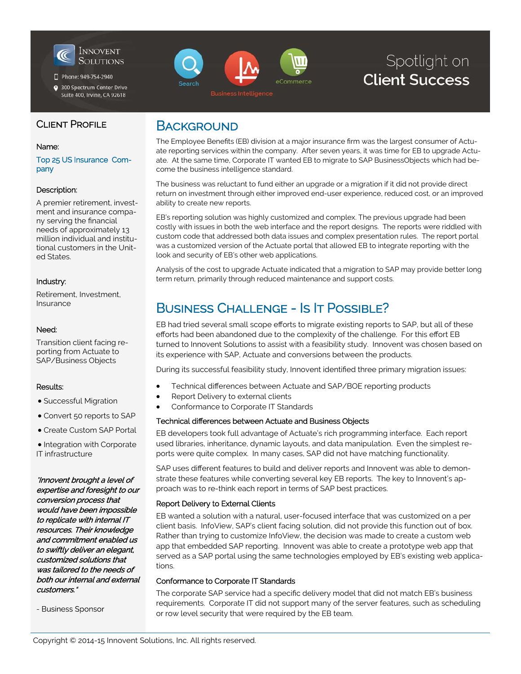

Phone: 949-754-2940

300 Spectrum Center Drive Suite 400, Irvine, CA 92618



# Spotlight on **Client Success**

### CLIENT PROFILE

#### Name:

Top 25 US Insurance Company

#### Description:

A premier retirement, investment and insurance company serving the financial needs of approximately 13 million individual and institutional customers in the United States.

#### Industry:

Retirement, Investment, Insurance

#### Need:

Transition client facing reporting from Actuate to SAP/Business Objects

#### Results:

Successful Migration

Convert 50 reports to SAP

Create Custom SAP Portal

• Integration with Corporate IT infrastructure

Innovent brought a level of expertise and foresight to our conversion process that would have been impossible to replicate with internal IT resources. Their knowledge and commitment enabled us to swiftly deliver an elegant, customized solutions that was tailored to the needs of both our internal and external customers.

- Business Sponsor

### **BACKGROUND**

The Employee Benefits (EB) division at a major insurance firm was the largest consumer of Actuate reporting services within the company. After seven years, it was time for EB to upgrade Actuate. At the same time, Corporate IT wanted EB to migrate to SAP BusinessObjects which had become the business intelligence standard.

The business was reluctant to fund either an upgrade or a migration if it did not provide direct return on investment through either improved end-user experience, reduced cost, or an improved ability to create new reports.

EB's reporting solution was highly customized and complex. The previous upgrade had been costly with issues in both the web interface and the report designs. The reports were riddled with custom code that addressed both data issues and complex presentation rules. The report portal was a customized version of the Actuate portal that allowed EB to integrate reporting with the look and security of EB's other web applications.

Analysis of the cost to upgrade Actuate indicated that a migration to SAP may provide better long term return, primarily through reduced maintenance and support costs.

## BUSINESS CHALLENGE - IS IT POSSIBLE?

EB had tried several small scope efforts to migrate existing reports to SAP, but all of these efforts had been abandoned due to the complexity of the challenge. For this effort EB turned to Innovent Solutions to assist with a feasibility study. Innovent was chosen based on its experience with SAP, Actuate and conversions between the products.

During its successful feasibility study, Innovent identified three primary migration issues:

- Technical differences between Actuate and SAP/BOE reporting products
- Report Delivery to external clients
- Conformance to Corporate IT Standards

#### Technical differences between Actuate and Business Objects

EB developers took full advantage of Actuate's rich programming interface. Each report used libraries, inheritance, dynamic layouts, and data manipulation. Even the simplest reports were quite complex. In many cases, SAP did not have matching functionality.

SAP uses different features to build and deliver reports and Innovent was able to demonstrate these features while converting several key EB reports. The key to Innovent's approach was to re-think each report in terms of SAP best practices.

#### Report Delivery to External Clients

EB wanted a solution with a natural, user-focused interface that was customized on a per client basis. InfoView, SAP's client facing solution, did not provide this function out of box. Rather than trying to customize InfoView, the decision was made to create a custom web app that embedded SAP reporting. Innovent was able to create a prototype web app that served as a SAP portal using the same technologies employed by EB's existing web applications.

#### Conformance to Corporate IT Standards

The corporate SAP service had a specific delivery model that did not match EB's business requirements. Corporate IT did not support many of the server features, such as scheduling or row level security that were required by the EB team.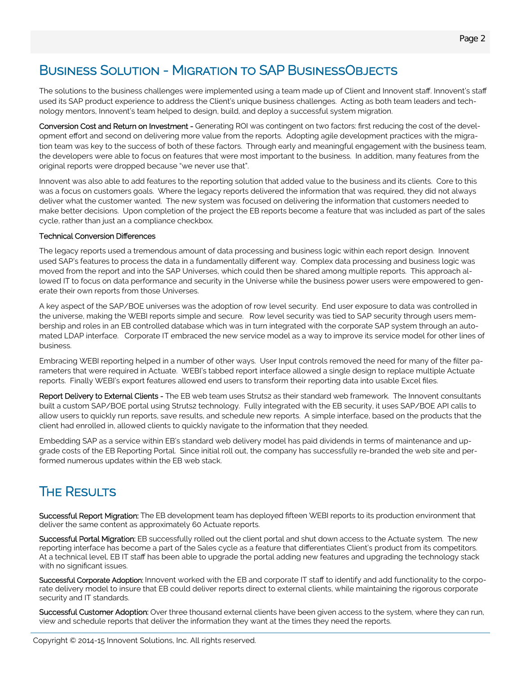## BUSINESS SOLUTION - MIGRATION TO SAP BUSINESSOBJECTS

The solutions to the business challenges were implemented using a team made up of Client and Innovent staff. Innovent's staff used its SAP product experience to address the Client's unique business challenges. Acting as both team leaders and technology mentors, Innovent's team helped to design, build, and deploy a successful system migration.

Conversion Cost and Return on Investment - Generating ROI was contingent on two factors: first reducing the cost of the development effort and second on delivering more value from the reports. Adopting agile development practices with the migration team was key to the success of both of these factors. Through early and meaningful engagement with the business team, the developers were able to focus on features that were most important to the business. In addition, many features from the original reports were dropped because "we never use that".

Innovent was also able to add features to the reporting solution that added value to the business and its clients. Core to this was a focus on customers goals. Where the legacy reports delivered the information that was required, they did not always deliver what the customer wanted. The new system was focused on delivering the information that customers needed to make better decisions. Upon completion of the project the EB reports become a feature that was included as part of the sales cycle, rather than just an a compliance checkbox.

#### Technical Conversion Differences

The legacy reports used a tremendous amount of data processing and business logic within each report design. Innovent used SAP's features to process the data in a fundamentally different way. Complex data processing and business logic was moved from the report and into the SAP Universes, which could then be shared among multiple reports. This approach allowed IT to focus on data performance and security in the Universe while the business power users were empowered to generate their own reports from those Universes.

A key aspect of the SAP/BOE universes was the adoption of row level security. End user exposure to data was controlled in the universe, making the WEBI reports simple and secure. Row level security was tied to SAP security through users membership and roles in an EB controlled database which was in turn integrated with the corporate SAP system through an automated LDAP interface. Corporate IT embraced the new service model as a way to improve its service model for other lines of business.

Embracing WEBI reporting helped in a number of other ways. User Input controls removed the need for many of the filter parameters that were required in Actuate. WEBI's tabbed report interface allowed a single design to replace multiple Actuate reports. Finally WEBI's export features allowed end users to transform their reporting data into usable Excel files.

Report Delivery to External Clients - The EB web team uses Struts2 as their standard web framework. The Innovent consultants built a custom SAP/BOE portal using Struts2 technology. Fully integrated with the EB security, it uses SAP/BOE API calls to allow users to quickly run reports, save results, and schedule new reports. A simple interface, based on the products that the client had enrolled in, allowed clients to quickly navigate to the information that they needed.

Embedding SAP as a service within EB's standard web delivery model has paid dividends in terms of maintenance and upgrade costs of the EB Reporting Portal. Since initial roll out, the company has successfully re-branded the web site and performed numerous updates within the EB web stack.

## **THE RESULTS**

Successful Report Migration: The EB development team has deployed fifteen WEBI reports to its production environment that deliver the same content as approximately 60 Actuate reports.

Successful Portal Migration: EB successfully rolled out the client portal and shut down access to the Actuate system. The new reporting interface has become a part of the Sales cycle as a feature that differentiates Client's product from its competitors. At a technical level, EB IT staff has been able to upgrade the portal adding new features and upgrading the technology stack with no significant issues.

Successful Corporate Adoption: Innovent worked with the EB and corporate IT staff to identify and add functionality to the corporate delivery model to insure that EB could deliver reports direct to external clients, while maintaining the rigorous corporate security and IT standards.

Successful Customer Adoption: Over three thousand external clients have been given access to the system, where they can run, view and schedule reports that deliver the information they want at the times they need the reports.